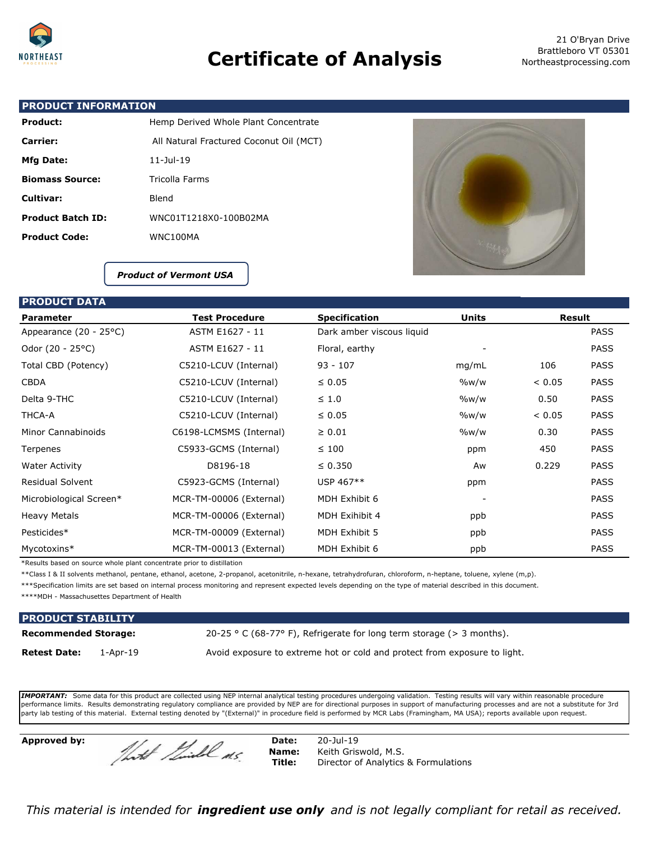

## **Certificate of Analysis**

 21 O'Bryan Drive Brattleboro VT 05301 Northeastprocessing.com

#### **PRODUCT INFORMATION**

| <b>Product:</b>          | Hemp Derived Whole Plant Concentrate    |
|--------------------------|-----------------------------------------|
| Carrier:                 | All Natural Fractured Coconut Oil (MCT) |
| Mfg Date:                | $11 -$ Jul-19                           |
| <b>Biomass Source:</b>   | Tricolla Farms                          |
| Cultivar:                | Blend                                   |
| <b>Product Batch ID:</b> | WNC01T1218X0-100B02MA                   |
| <b>Product Code:</b>     | WNC100MA                                |



*Product of Vermont USA*

#### **PRODUCT DATA**

| <b>Parameter</b>        | <b>Test Procedure</b><br><b>Specification</b> |                           | <b>Units</b> |        | <b>Result</b> |  |
|-------------------------|-----------------------------------------------|---------------------------|--------------|--------|---------------|--|
| Appearance (20 - 25°C)  | ASTM E1627 - 11                               | Dark amber viscous liquid |              |        | <b>PASS</b>   |  |
| Odor (20 - 25°C)        | ASTM E1627 - 11                               | Floral, earthy            |              |        | <b>PASS</b>   |  |
| Total CBD (Potency)     | C5210-LCUV (Internal)                         | $93 - 107$                | mq/mL        | 106    | <b>PASS</b>   |  |
| <b>CBDA</b>             | C5210-LCUV (Internal)                         | $\leq 0.05$               | $\%w/w$      | < 0.05 | <b>PASS</b>   |  |
| Delta 9-THC             | C5210-LCUV (Internal)                         | $\leq 1.0$                | $\%w/w$      | 0.50   | <b>PASS</b>   |  |
| THCA-A                  | C5210-LCUV (Internal)                         | $\leq 0.05$               | $\%w/w$      | < 0.05 | <b>PASS</b>   |  |
| Minor Cannabinoids      | C6198-LCMSMS (Internal)                       | $\geq 0.01$               | $\%$ w/w     | 0.30   | <b>PASS</b>   |  |
| Terpenes                | C5933-GCMS (Internal)                         | $\leq 100$                | ppm          | 450    | <b>PASS</b>   |  |
| <b>Water Activity</b>   | D8196-18                                      | $\leq 0.350$              | Aw           | 0.229  | <b>PASS</b>   |  |
| <b>Residual Solvent</b> | C5923-GCMS (Internal)                         | USP 467**                 | ppm          |        | <b>PASS</b>   |  |
| Microbiological Screen* | MCR-TM-00006 (External)                       | MDH Exhibit 6             |              |        | <b>PASS</b>   |  |
| <b>Heavy Metals</b>     | MCR-TM-00006 (External)                       | MDH Exihibit 4            | ppb          |        | <b>PASS</b>   |  |
| Pesticides*             | MCR-TM-00009 (External)                       | MDH Exhibit 5             | ppb          |        | <b>PASS</b>   |  |
| Mycotoxins*             | MCR-TM-00013 (External)                       | MDH Exhibit 6             | ppb          |        | <b>PASS</b>   |  |

\*Results based on source whole plant concentrate prior to distillation

\*\*Class I & II solvents methanol, pentane, ethanol, acetone, 2-propanol, acetonitrile, n-hexane, tetrahydrofuran, chloroform, n-heptane, toluene, xylene (m,p).

\*\*\*Specification limits are set based on internal process monitoring and represent expected levels depending on the type of material described in this document.

\*\*\*\*MDH - Massachusettes Department of Health

| <b>PRODUCT STABILITY</b>    |          |                                                                           |
|-----------------------------|----------|---------------------------------------------------------------------------|
| <b>Recommended Storage:</b> |          | 20-25 ° C (68-77° F), Refrigerate for long term storage ( $>$ 3 months).  |
| <b>Retest Date:</b>         | 1-Apr-19 | Avoid exposure to extreme hot or cold and protect from exposure to light. |

*IMPORTANT:* Some data for this product are collected using NEP internal analytical testing procedures undergoing validation. Testing results will vary within reasonable procedure performance limits. Results demonstrating regulatory compliance are provided by NEP are for directional purposes in support of manufacturing processes and are not a substitute for 3rd party lab testing of this material. External testing denoted by "(External)" in procedure field is performed by MCR Labs (Framingham, MA USA); reports available upon request.

**Approved by:** Date: 20-Jul-19<br> **Date:** 20-Jul-19<br> **Date:** 20-Jul-19

**Name:** Keith Griswold, M.S.<br>**Title:** Director of Analytics **Director of Analytics & Formulations** 

*This material is intended for ingredient use only and is not legally compliant for retail as received.*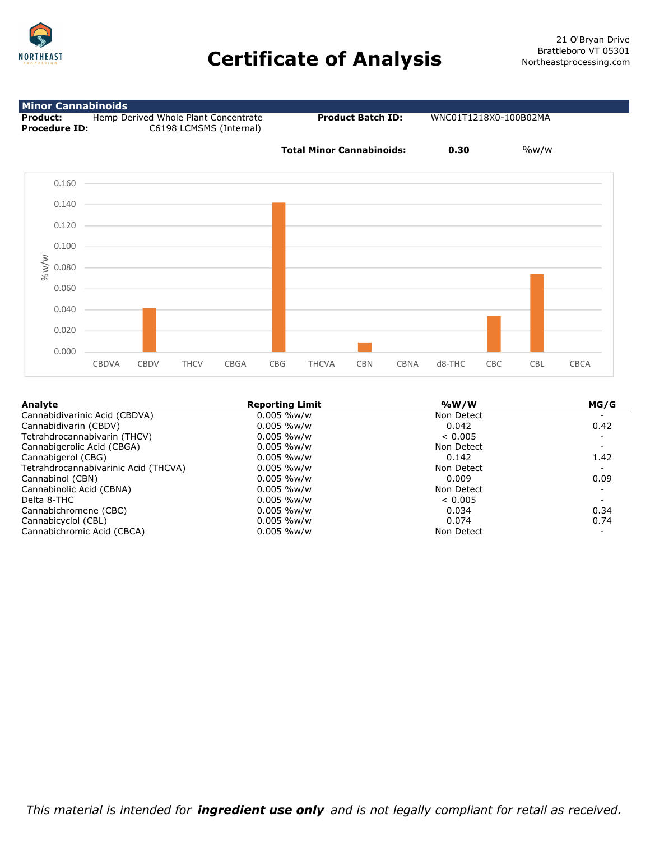



| Analyte                              | <b>Reporting Limit</b> | %W/W       | MG/G |
|--------------------------------------|------------------------|------------|------|
| Cannabidivarinic Acid (CBDVA)        | $0.005$ %w/w           | Non Detect |      |
| Cannabidivarin (CBDV)                | $0.005$ %w/w           | 0.042      | 0.42 |
| Tetrahdrocannabivarin (THCV)         | $0.005$ %w/w           | < 0.005    |      |
| Cannabigerolic Acid (CBGA)           | $0.005$ %w/w           | Non Detect |      |
| Cannabigerol (CBG)                   | $0.005$ %w/w           | 0.142      | 1.42 |
| Tetrahdrocannabivarinic Acid (THCVA) | $0.005$ %w/w           | Non Detect |      |
| Cannabinol (CBN)                     | $0.005\%$ w/w          | 0.009      | 0.09 |
| Cannabinolic Acid (CBNA)             | $0.005$ %w/w           | Non Detect |      |
| Delta 8-THC                          | $0.005$ %w/w           | < 0.005    |      |
| Cannabichromene (CBC)                | $0.005$ %w/w           | 0.034      | 0.34 |
| Cannabicyclol (CBL)                  | $0.005\%$ w/w          | 0.074      | 0.74 |
| Cannabichromic Acid (CBCA)           | $0.005$ %w/w           | Non Detect |      |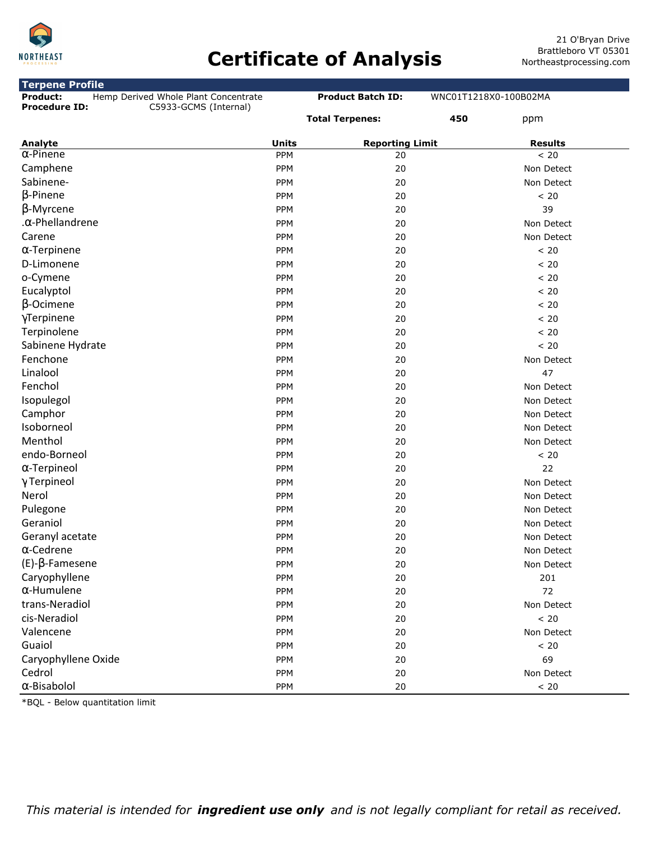

# **Certificate of Analysis**

| <b>Terpene Profile</b>                           |              |                          |                       |
|--------------------------------------------------|--------------|--------------------------|-----------------------|
| Hemp Derived Whole Plant Concentrate<br>Product: |              | <b>Product Batch ID:</b> | WNC01T1218X0-100B02MA |
| <b>Procedure ID:</b><br>C5933-GCMS (Internal)    |              | <b>Total Terpenes:</b>   | 450<br>ppm            |
| Analyte                                          | <b>Units</b> | <b>Reporting Limit</b>   | <b>Results</b>        |
| $\alpha$ -Pinene                                 | PPM          | 20                       | < 20                  |
| Camphene                                         | PPM          | 20                       | Non Detect            |
| Sabinene-                                        | <b>PPM</b>   | 20                       | Non Detect            |
| $\beta$ -Pinene                                  | PPM          | 20                       | < 20                  |
| $\beta$ -Myrcene                                 | PPM          | 20                       | 39                    |
| . $\alpha$ -Phellandrene                         | <b>PPM</b>   | 20                       | Non Detect            |
| Carene                                           | PPM          | 20                       | Non Detect            |
| $\alpha$ -Terpinene                              | PPM          | 20                       | < 20                  |
| D-Limonene                                       | PPM          | 20                       | < 20                  |
| o-Cymene                                         | <b>PPM</b>   | 20                       | < 20                  |
| Eucalyptol                                       | PPM          | 20                       | $< 20$                |
| $\beta$ -Ocimene                                 | PPM          | 20                       | < 20                  |
| γTerpinene                                       | <b>PPM</b>   | 20                       | < 20                  |
| Terpinolene                                      | PPM          | 20                       | < 20                  |
| Sabinene Hydrate                                 | PPM          | 20                       | < 20                  |
| Fenchone                                         | PPM          | 20                       | Non Detect            |
| Linalool                                         | <b>PPM</b>   | 20                       | 47                    |
| Fenchol                                          | PPM          | 20                       | Non Detect            |
| Isopulegol                                       | PPM          | 20                       | Non Detect            |
| Camphor                                          | PPM          | 20                       | Non Detect            |
| Isoborneol                                       | PPM          | 20                       | Non Detect            |
| Menthol                                          | PPM          | 20                       | Non Detect            |
| endo-Borneol                                     | PPM          | 20                       | < 20                  |
| $\alpha$ -Terpineol                              | <b>PPM</b>   | 20                       | 22                    |
| $\gamma$ Terpineol                               | PPM          | 20                       | Non Detect            |
| Nerol                                            | PPM          | 20                       | Non Detect            |
| Pulegone                                         | PPM          | 20                       | Non Detect            |
| Geraniol                                         | <b>PPM</b>   | 20                       | Non Detect            |
| Geranyl acetate                                  | PPM          | 20                       | Non Detect            |
| $\alpha$ -Cedrene                                | PPM          | 20                       | Non Detect            |
| $(E)-\beta$ -Famesene                            | <b>PPM</b>   | 20                       | Non Detect            |
| Caryophyllene                                    | PPM          | 20                       | 201                   |
| $\alpha$ -Humulene                               | PPM          | 20                       | 72                    |
| trans-Neradiol                                   | PPM          | 20                       | Non Detect            |
| cis-Neradiol                                     | PPM          | 20                       | < 20                  |
| Valencene                                        | PPM          | 20                       | Non Detect            |
| Guaiol                                           | PPM          | 20                       | < 20                  |
| Caryophyllene Oxide                              | PPM          | 20                       | 69                    |
| Cedrol                                           | PPM          | 20                       | Non Detect            |
| $\alpha$ -Bisabolol                              | PPM          | 20                       | $< 20$                |

\*BQL - Below quantitation limit